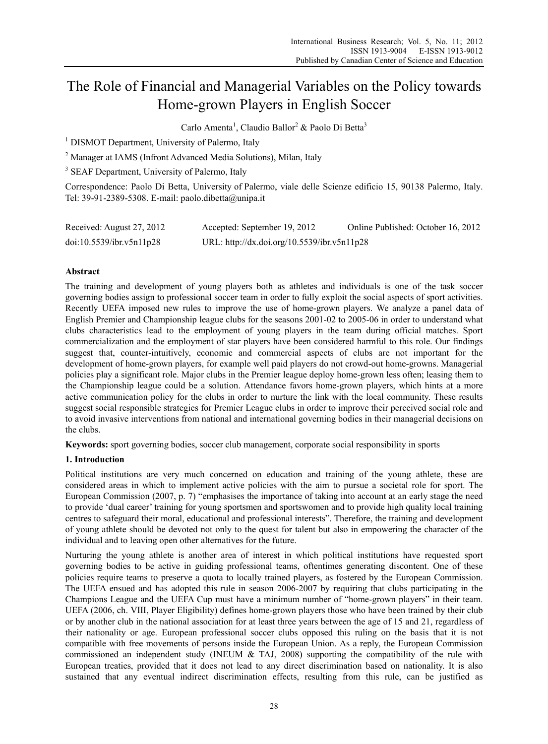# The Role of Financial and Managerial Variables on the Policy towards Home-grown Players in English Soccer

Carlo Amenta<sup>1</sup>, Claudio Ballor<sup>2</sup> & Paolo Di Betta<sup>3</sup>

<sup>1</sup> DISMOT Department, University of Palermo, Italy

<sup>2</sup> Manager at IAMS (Infront Advanced Media Solutions), Milan, Italy

<sup>3</sup> SEAF Department, University of Palermo, Italy

Correspondence: Paolo Di Betta, University of Palermo, viale delle Scienze edificio 15, 90138 Palermo, Italy. Tel: 39-91-2389-5308. E-mail: paolo.dibetta@unipa.it

| Received: August 27, 2012 | Accepted: September 19, 2012                | Online Published: October 16, 2012 |
|---------------------------|---------------------------------------------|------------------------------------|
| doi:10.5539/ibr.v5n11p28  | URL: http://dx.doi.org/10.5539/ibr.v5n11p28 |                                    |

# **Abstract**

The training and development of young players both as athletes and individuals is one of the task soccer governing bodies assign to professional soccer team in order to fully exploit the social aspects of sport activities. Recently UEFA imposed new rules to improve the use of home-grown players. We analyze a panel data of English Premier and Championship league clubs for the seasons 2001-02 to 2005-06 in order to understand what clubs characteristics lead to the employment of young players in the team during official matches. Sport commercialization and the employment of star players have been considered harmful to this role. Our findings suggest that, counter-intuitively, economic and commercial aspects of clubs are not important for the development of home-grown players, for example well paid players do not crowd-out home-growns. Managerial policies play a significant role. Major clubs in the Premier league deploy home-grown less often; leasing them to the Championship league could be a solution. Attendance favors home-grown players, which hints at a more active communication policy for the clubs in order to nurture the link with the local community. These results suggest social responsible strategies for Premier League clubs in order to improve their perceived social role and to avoid invasive interventions from national and international governing bodies in their managerial decisions on the clubs.

**Keywords:** sport governing bodies, soccer club management, corporate social responsibility in sports

# **1. Introduction**

Political institutions are very much concerned on education and training of the young athlete, these are considered areas in which to implement active policies with the aim to pursue a societal role for sport. The European Commission (2007, p. 7) "emphasises the importance of taking into account at an early stage the need to provide 'dual career' training for young sportsmen and sportswomen and to provide high quality local training centres to safeguard their moral, educational and professional interests". Therefore, the training and development of young athlete should be devoted not only to the quest for talent but also in empowering the character of the individual and to leaving open other alternatives for the future.

Nurturing the young athlete is another area of interest in which political institutions have requested sport governing bodies to be active in guiding professional teams, oftentimes generating discontent. One of these policies require teams to preserve a quota to locally trained players, as fostered by the European Commission. The UEFA ensued and has adopted this rule in season 2006-2007 by requiring that clubs participating in the Champions League and the UEFA Cup must have a minimum number of "home-grown players" in their team. UEFA (2006, ch. VIII, Player Eligibility) defines home-grown players those who have been trained by their club or by another club in the national association for at least three years between the age of 15 and 21, regardless of their nationality or age. European professional soccer clubs opposed this ruling on the basis that it is not compatible with free movements of persons inside the European Union. As a reply, the European Commission commissioned an independent study (INEUM & TAJ, 2008) supporting the compatibility of the rule with European treaties, provided that it does not lead to any direct discrimination based on nationality. It is also sustained that any eventual indirect discrimination effects, resulting from this rule, can be justified as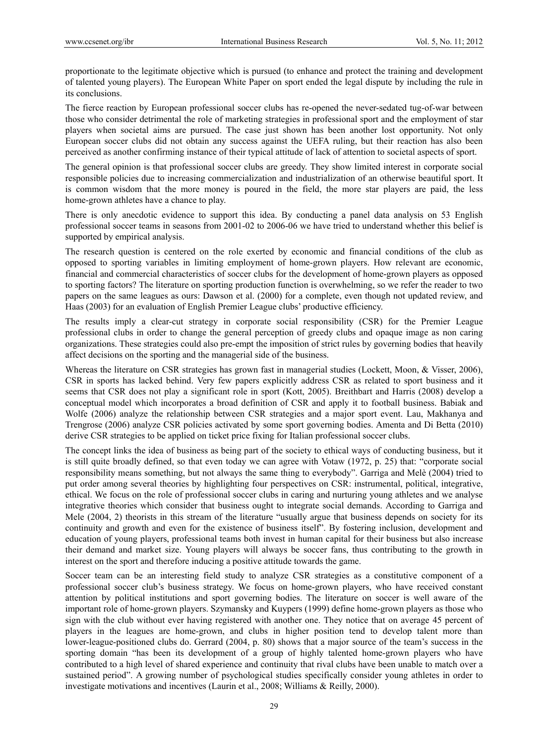proportionate to the legitimate objective which is pursued (to enhance and protect the training and development of talented young players). The European White Paper on sport ended the legal dispute by including the rule in its conclusions.

The fierce reaction by European professional soccer clubs has re-opened the never-sedated tug-of-war between those who consider detrimental the role of marketing strategies in professional sport and the employment of star players when societal aims are pursued. The case just shown has been another lost opportunity. Not only European soccer clubs did not obtain any success against the UEFA ruling, but their reaction has also been perceived as another confirming instance of their typical attitude of lack of attention to societal aspects of sport.

The general opinion is that professional soccer clubs are greedy. They show limited interest in corporate social responsible policies due to increasing commercialization and industrialization of an otherwise beautiful sport. It is common wisdom that the more money is poured in the field, the more star players are paid, the less home-grown athletes have a chance to play.

There is only anecdotic evidence to support this idea. By conducting a panel data analysis on 53 English professional soccer teams in seasons from 2001-02 to 2006-06 we have tried to understand whether this belief is supported by empirical analysis.

The research question is centered on the role exerted by economic and financial conditions of the club as opposed to sporting variables in limiting employment of home-grown players. How relevant are economic, financial and commercial characteristics of soccer clubs for the development of home-grown players as opposed to sporting factors? The literature on sporting production function is overwhelming, so we refer the reader to two papers on the same leagues as ours: Dawson et al. (2000) for a complete, even though not updated review, and Haas (2003) for an evaluation of English Premier League clubs' productive efficiency.

The results imply a clear-cut strategy in corporate social responsibility (CSR) for the Premier League professional clubs in order to change the general perception of greedy clubs and opaque image as non caring organizations. These strategies could also pre-empt the imposition of strict rules by governing bodies that heavily affect decisions on the sporting and the managerial side of the business.

Whereas the literature on CSR strategies has grown fast in managerial studies (Lockett, Moon, & Visser, 2006), CSR in sports has lacked behind. Very few papers explicitly address CSR as related to sport business and it seems that CSR does not play a significant role in sport (Kott, 2005). Breithbart and Harris (2008) develop a conceptual model which incorporates a broad definition of CSR and apply it to football business. Babiak and Wolfe (2006) analyze the relationship between CSR strategies and a major sport event. Lau, Makhanya and Trengrose (2006) analyze CSR policies activated by some sport governing bodies. Amenta and Di Betta (2010) derive CSR strategies to be applied on ticket price fixing for Italian professional soccer clubs.

The concept links the idea of business as being part of the society to ethical ways of conducting business, but it is still quite broadly defined, so that even today we can agree with Votaw (1972, p. 25) that: "corporate social responsibility means something, but not always the same thing to everybody". Garriga and Melè (2004) tried to put order among several theories by highlighting four perspectives on CSR: instrumental, political, integrative, ethical. We focus on the role of professional soccer clubs in caring and nurturing young athletes and we analyse integrative theories which consider that business ought to integrate social demands. According to Garriga and Mele (2004, 2) theorists in this stream of the literature "usually argue that business depends on society for its continuity and growth and even for the existence of business itself". By fostering inclusion, development and education of young players, professional teams both invest in human capital for their business but also increase their demand and market size. Young players will always be soccer fans, thus contributing to the growth in interest on the sport and therefore inducing a positive attitude towards the game.

Soccer team can be an interesting field study to analyze CSR strategies as a constitutive component of a professional soccer club's business strategy. We focus on home-grown players, who have received constant attention by political institutions and sport governing bodies. The literature on soccer is well aware of the important role of home-grown players. Szymansky and Kuypers (1999) define home-grown players as those who sign with the club without ever having registered with another one. They notice that on average 45 percent of players in the leagues are home-grown, and clubs in higher position tend to develop talent more than lower-league-positioned clubs do. Gerrard (2004, p. 80) shows that a major source of the team's success in the sporting domain "has been its development of a group of highly talented home-grown players who have contributed to a high level of shared experience and continuity that rival clubs have been unable to match over a sustained period". A growing number of psychological studies specifically consider young athletes in order to investigate motivations and incentives (Laurin et al., 2008; Williams & Reilly, 2000).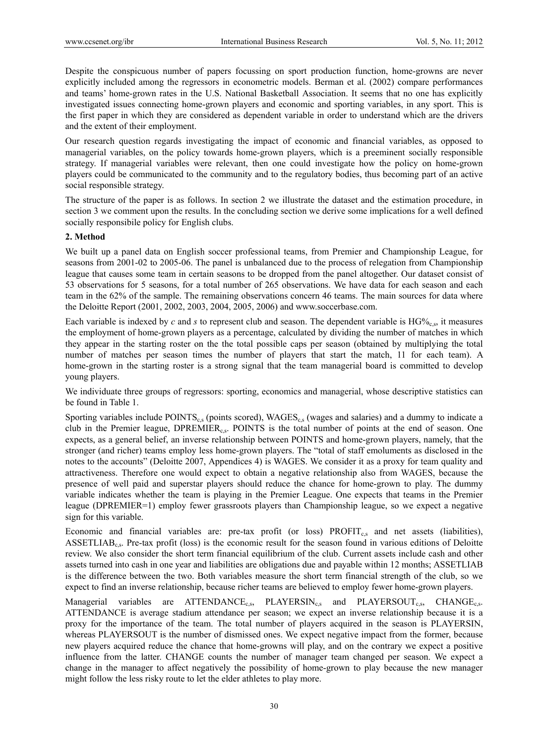Despite the conspicuous number of papers focussing on sport production function, home-growns are never explicitly included among the regressors in econometric models. Berman et al. (2002) compare performances and teams' home-grown rates in the U.S. National Basketball Association. It seems that no one has explicitly investigated issues connecting home-grown players and economic and sporting variables, in any sport. This is the first paper in which they are considered as dependent variable in order to understand which are the drivers and the extent of their employment.

Our research question regards investigating the impact of economic and financial variables, as opposed to managerial variables, on the policy towards home-grown players, which is a preeminent socially responsible strategy. If managerial variables were relevant, then one could investigate how the policy on home-grown players could be communicated to the community and to the regulatory bodies, thus becoming part of an active social responsible strategy.

The structure of the paper is as follows. In section 2 we illustrate the dataset and the estimation procedure, in section 3 we comment upon the results. In the concluding section we derive some implications for a well defined socially responsibile policy for English clubs.

## **2. Method**

We built up a panel data on English soccer professional teams, from Premier and Championship League, for seasons from 2001-02 to 2005-06. The panel is unbalanced due to the process of relegation from Championship league that causes some team in certain seasons to be dropped from the panel altogether. Our dataset consist of 53 observations for 5 seasons, for a total number of 265 observations. We have data for each season and each team in the 62% of the sample. The remaining observations concern 46 teams. The main sources for data where the Deloitte Report (2001, 2002, 2003, 2004, 2005, 2006) and www.soccerbase.com.

Each variable is indexed by *c* and *s* to represent club and season. The dependent variable is  $HG\%_{c,s}$ , it measures the employment of home-grown players as a percentage, calculated by dividing the number of matches in which they appear in the starting roster on the the total possible caps per season (obtained by multiplying the total number of matches per season times the number of players that start the match, 11 for each team). A home-grown in the starting roster is a strong signal that the team managerial board is committed to develop young players.

We individuate three groups of regressors: sporting, economics and managerial, whose descriptive statistics can be found in Table 1.

Sporting variables include POINTS<sub>c</sub>, (points scored), WAGES<sub>c, s</sub> (wages and salaries) and a dummy to indicate a club in the Premier league,  $DPREMIER_{c,s}$ . POINTS is the total number of points at the end of season. One expects, as a general belief, an inverse relationship between POINTS and home-grown players, namely, that the stronger (and richer) teams employ less home-grown players. The "total of staff emoluments as disclosed in the notes to the accounts" (Deloitte 2007, Appendices 4) is WAGES. We consider it as a proxy for team quality and attractiveness. Therefore one would expect to obtain a negative relationship also from WAGES, because the presence of well paid and superstar players should reduce the chance for home-grown to play. The dummy variable indicates whether the team is playing in the Premier League. One expects that teams in the Premier league (DPREMIER=1) employ fewer grassroots players than Championship league, so we expect a negative sign for this variable.

Economic and financial variables are: pre-tax profit (or loss) PROFIT<sub>c,s</sub> and net assets (liabilities), ASSETLIAB<sub>c</sub><sub>s</sub>. Pre-tax profit (loss) is the economic result for the season found in various editions of Deloitte review. We also consider the short term financial equilibrium of the club. Current assets include cash and other assets turned into cash in one year and liabilities are obligations due and payable within 12 months; ASSETLIAB is the difference between the two. Both variables measure the short term financial strength of the club, so we expect to find an inverse relationship, because richer teams are believed to employ fewer home-grown players.

Managerial variables are ATTENDANCE<sub>c,s</sub>, PLAYERSIN<sub>c,s</sub> and PLAYERSOUT<sub>c,s</sub>, CHANGE<sub>c,s</sub>. ATTENDANCE is average stadium attendance per season; we expect an inverse relationship because it is a proxy for the importance of the team. The total number of players acquired in the season is PLAYERSIN, whereas PLAYERSOUT is the number of dismissed ones. We expect negative impact from the former, because new players acquired reduce the chance that home-growns will play, and on the contrary we expect a positive influence from the latter. CHANGE counts the number of manager team changed per season. We expect a change in the manager to affect negatively the possibility of home-grown to play because the new manager might follow the less risky route to let the elder athletes to play more.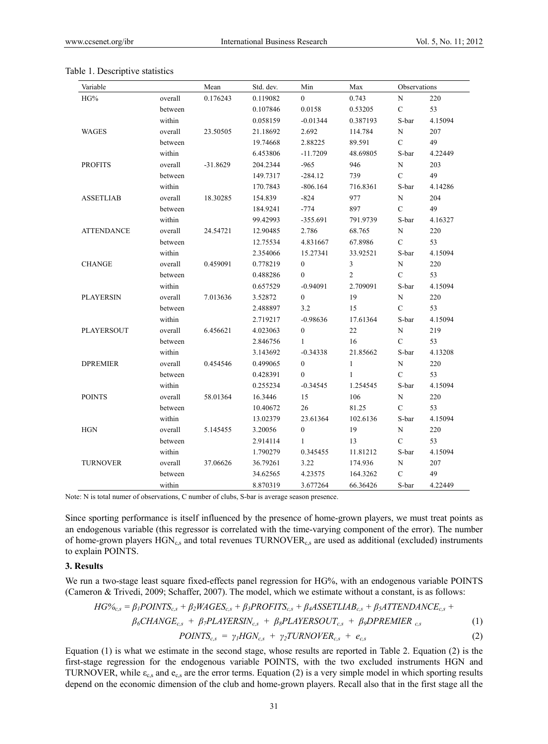| Variable          |         | Mean       | Std. dev. | Min              | Max          | Observations  |         |
|-------------------|---------|------------|-----------|------------------|--------------|---------------|---------|
| HG%               | overall | 0.176243   | 0.119082  | $\Omega$         | 0.743        | $\mathbf N$   | 220     |
|                   | between |            | 0.107846  | 0.0158           | 0.53205      | $\mathbf C$   | 53      |
|                   | within  |            | 0.058159  | $-0.01344$       | 0.387193     | S-bar         | 4.15094 |
| <b>WAGES</b>      | overall | 23.50505   | 21.18692  | 2.692            | 114.784      | N             | 207     |
|                   | between |            | 19.74668  | 2.88225          | 89.591       | $\mathcal{C}$ | 49      |
|                   | within  |            | 6.453806  | $-11.7209$       | 48.69805     | S-bar         | 4.22449 |
| <b>PROFITS</b>    | overall | $-31.8629$ | 204.2344  | $-965$           | 946          | N             | 203     |
|                   | between |            | 149.7317  | $-284.12$        | 739          | $\mathcal{C}$ | 49      |
|                   | within  |            | 170.7843  | $-806.164$       | 716.8361     | S-bar         | 4.14286 |
| <b>ASSETLIAB</b>  | overall | 18.30285   | 154.839   | $-824$           | 977          | $\mathbf N$   | 204     |
|                   | between |            | 184.9241  | $-774$           | 897          | $\mathcal{C}$ | 49      |
|                   | within  |            | 99.42993  | $-355.691$       | 791.9739     | S-bar         | 4.16327 |
| <b>ATTENDANCE</b> | overall | 24.54721   | 12.90485  | 2.786            | 68.765       | N             | 220     |
|                   | between |            | 12.75534  | 4.831667         | 67.8986      | $\mathbf C$   | 53      |
|                   | within  |            | 2.354066  | 15.27341         | 33.92521     | S-bar         | 4.15094 |
| <b>CHANGE</b>     | overall | 0.459091   | 0.778219  | $\mathbf{0}$     | 3            | $\mathbf N$   | 220     |
|                   | between |            | 0.488286  | $\mathbf{0}$     | 2            | $\mathcal{C}$ | 53      |
|                   | within  |            | 0.657529  | $-0.94091$       | 2.709091     | S-bar         | 4.15094 |
| <b>PLAYERSIN</b>  | overall | 7.013636   | 3.52872   | $\overline{0}$   | 19           | $\mathbf N$   | 220     |
|                   | between |            | 2.488897  | 3.2              | 15           | $\mathbf C$   | 53      |
|                   | within  |            | 2.719217  | $-0.98636$       | 17.61364     | S-bar         | 4.15094 |
| PLAYERSOUT        | overall | 6.456621   | 4.023063  | $\mathbf{0}$     | 22           | $\mathbf N$   | 219     |
|                   | between |            | 2.846756  | 1                | 16           | $\mathcal{C}$ | 53      |
|                   | within  |            | 3.143692  | $-0.34338$       | 21.85662     | S-bar         | 4.13208 |
| <b>DPREMIER</b>   | overall | 0.454546   | 0.499065  | $\boldsymbol{0}$ | $\mathbf{1}$ | ${\bf N}$     | 220     |
|                   | between |            | 0.428391  | 0                | $\mathbf{1}$ | $\mathbf C$   | 53      |
|                   | within  |            | 0.255234  | $-0.34545$       | 1.254545     | S-bar         | 4.15094 |
| <b>POINTS</b>     | overall | 58.01364   | 16.3446   | 15               | 106          | ${\rm N}$     | 220     |
|                   | between |            | 10.40672  | 26               | 81.25        | $\mathcal{C}$ | 53      |
|                   | within  |            | 13.02379  | 23.61364         | 102.6136     | S-bar         | 4.15094 |
| <b>HGN</b>        | overall | 5.145455   | 3.20056   | $\boldsymbol{0}$ | 19           | ${\bf N}$     | 220     |
|                   | between |            | 2.914114  | 1                | 13           | $\mathcal{C}$ | 53      |
|                   | within  |            | 1.790279  | 0.345455         | 11.81212     | S-bar         | 4.15094 |
| <b>TURNOVER</b>   | overall | 37.06626   | 36.79261  | 3.22             | 174.936      | $\mathbf N$   | 207     |
|                   | between |            | 34.62565  | 4.23575          | 164.3262     | $\mathbf C$   | 49      |
|                   | within  |            | 8.870319  | 3.677264         | 66.36426     | S-bar         | 4.22449 |

#### Table 1. Descriptive statistics

Note: N is total numer of observations, C number of clubs, S-bar is average season presence.

Since sporting performance is itself influenced by the presence of home-grown players, we must treat points as an endogenous variable (this regressor is correlated with the time-varying component of the error). The number of home-grown players  $HGN_{c,s}$  and total revenues TURNOVER<sub>c,s</sub> are used as additional (excluded) instruments to explain POINTS.

#### **3. Results**

We run a two-stage least square fixed-effects panel regression for HG%, with an endogenous variable POINTS (Cameron & Trivedi, 2009; Schaffer, 2007). The model, which we estimate without a constant, is as follows:

$$
HG\%_{c,s} = \beta_1 POINTS_{c,s} + \beta_2WAGES_{c,s} + \beta_3PROFITS_{c,s} + \beta_4ASSETLLAB_{c,s} + \beta_5ATTENDANCE_{c,s} +
$$

$$
\beta_6CHANGE_{c,s} + \beta_7 PLAYERSIN_{c,s} + \beta_8 PLAYERSOUT_{c,s} + \beta_9 DPREMIER_{c,s}
$$
 (1)

 $POINTS_{cs} = \gamma_l HGN_{cs} + \gamma_2 TURNOVER_{cs} + e_{cs}$  (2)

Equation (1) is what we estimate in the second stage, whose results are reported in Table 2. Equation (2) is the first-stage regression for the endogenous variable POINTS, with the two excluded instruments HGN and TURNOVER, while  $\varepsilon_{c,s}$  and  $e_{c,s}$  are the error terms. Equation (2) is a very simple model in which sporting results depend on the economic dimension of the club and home-grown players. Recall also that in the first stage all the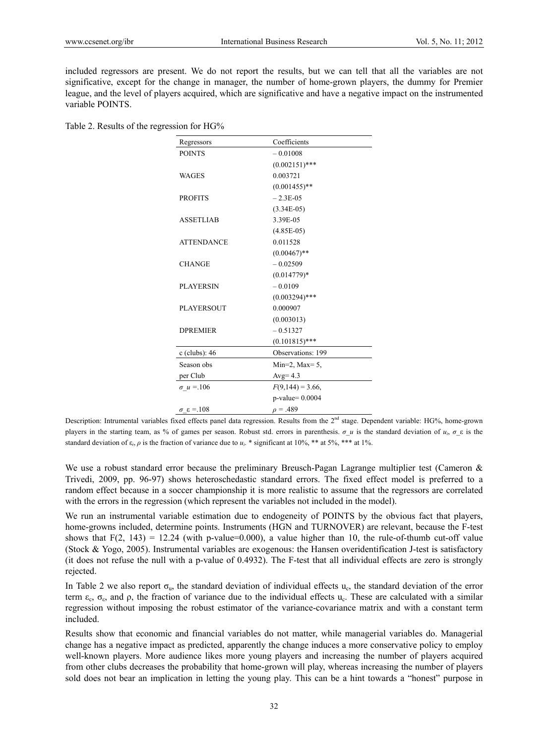included regressors are present. We do not report the results, but we can tell that all the variables are not significative, except for the change in manager, the number of home-grown players, the dummy for Premier league, and the level of players acquired, which are significative and have a negative impact on the instrumented variable POINTS.

Table 2. Results of the regression for HG%

| Regressors              | Coefficients         |  |
|-------------------------|----------------------|--|
| <b>POINTS</b>           | $-0.01008$           |  |
|                         | $(0.002151)$ ***     |  |
| <b>WAGES</b>            | 0.003721             |  |
|                         | $(0.001455)$ **      |  |
| <b>PROFITS</b>          | $-2.3E-0.5$          |  |
|                         | $(3.34E-05)$         |  |
| <b>ASSETLIAB</b>        | 3.39E-05             |  |
|                         | $(4.85E-05)$         |  |
| <b>ATTENDANCE</b>       | 0.011528             |  |
|                         | $(0.00467)$ **       |  |
| <b>CHANGE</b>           | $-0.02509$           |  |
|                         | $(0.014779)*$        |  |
| <b>PLAYERSIN</b>        | $-0.0109$            |  |
|                         | $(0.003294)$ ***     |  |
| <b>PLAYERSOUT</b>       | 0.000907             |  |
|                         | (0.003013)           |  |
| <b>DPREMIER</b>         | $-0.51327$           |  |
|                         | $(0.101815)$ ***     |  |
| c (clubs): 46           | Observations: 199    |  |
| Season obs              | Min=2, Max= $5$ ,    |  |
| per Club                | Avg= $4.3$           |  |
| $\sigma u = 106$        | $F(9,144) = 3.66$ ,  |  |
|                         | $p$ -value= $0.0004$ |  |
| $\sigma \epsilon = 108$ | $\rho = .489$        |  |

Description: Intrumental variables fixed effects panel data regression. Results from the 2<sup>nd</sup> stage. Dependent variable: HG%, home-grown players in the starting team, as % of games per season. Robust std. errors in parenthesis.  $\sigma u$  is the standard deviation of  $u_i$ ,  $\sigma \varepsilon$  is the standard deviation of  $\varepsilon_i$ ,  $\rho$  is the fraction of variance due to  $u_i$ . \* significant at 10%, \*\* at 5%, \*\*\* at 1%.

We use a robust standard error because the preliminary Breusch-Pagan Lagrange multiplier test (Cameron & Trivedi, 2009, pp. 96-97) shows heteroschedastic standard errors. The fixed effect model is preferred to a random effect because in a soccer championship it is more realistic to assume that the regressors are correlated with the errors in the regression (which represent the variables not included in the model).

We run an instrumental variable estimation due to endogeneity of POINTS by the obvious fact that players, home-growns included, determine points. Instruments (HGN and TURNOVER) are relevant, because the F-test shows that  $F(2, 143) = 12.24$  (with p-value=0.000), a value higher than 10, the rule-of-thumb cut-off value (Stock & Yogo, 2005). Instrumental variables are exogenous: the Hansen overidentification J-test is satisfactory (it does not refuse the null with a p-value of 0.4932). The F-test that all individual effects are zero is strongly rejected.

In Table 2 we also report  $\sigma_u$ , the standard deviation of individual effects  $u_c$ , the standard deviation of the error term  $\varepsilon_c$ ,  $\sigma_{\varepsilon}$ , and  $\rho$ , the fraction of variance due to the individual effects u<sub>c</sub>. These are calculated with a similar regression without imposing the robust estimator of the variance-covariance matrix and with a constant term included.

Results show that economic and financial variables do not matter, while managerial variables do. Managerial change has a negative impact as predicted, apparently the change induces a more conservative policy to employ well-known players. More audience likes more young players and increasing the number of players acquired from other clubs decreases the probability that home-grown will play, whereas increasing the number of players sold does not bear an implication in letting the young play. This can be a hint towards a "honest" purpose in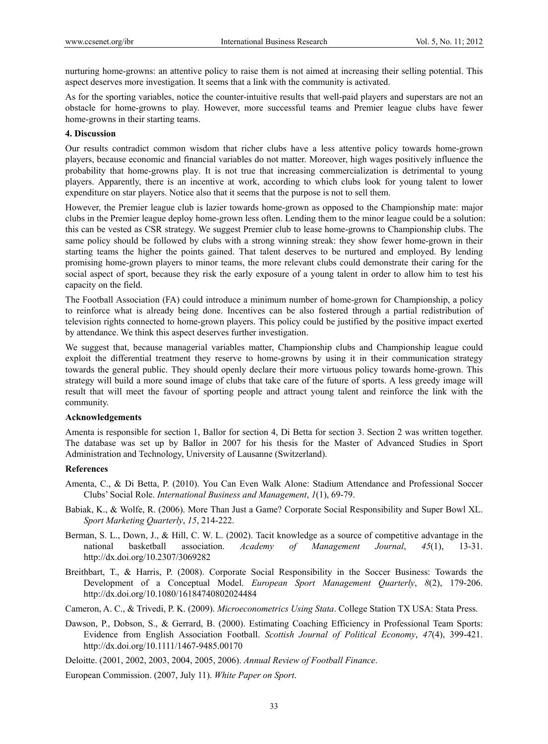nurturing home-growns: an attentive policy to raise them is not aimed at increasing their selling potential. This aspect deserves more investigation. It seems that a link with the community is activated.

As for the sporting variables, notice the counter-intuitive results that well-paid players and superstars are not an obstacle for home-growns to play. However, more successful teams and Premier league clubs have fewer home-growns in their starting teams.

## **4. Discussion**

Our results contradict common wisdom that richer clubs have a less attentive policy towards home-grown players, because economic and financial variables do not matter. Moreover, high wages positively influence the probability that home-growns play. It is not true that increasing commercialization is detrimental to young players. Apparently, there is an incentive at work, according to which clubs look for young talent to lower expenditure on star players. Notice also that it seems that the purpose is not to sell them.

However, the Premier league club is lazier towards home-grown as opposed to the Championship mate: major clubs in the Premier league deploy home-grown less often. Lending them to the minor league could be a solution: this can be vested as CSR strategy. We suggest Premier club to lease home-growns to Championship clubs. The same policy should be followed by clubs with a strong winning streak: they show fewer home-grown in their starting teams the higher the points gained. That talent deserves to be nurtured and employed. By lending promising home-grown players to minor teams, the more relevant clubs could demonstrate their caring for the social aspect of sport, because they risk the early exposure of a young talent in order to allow him to test his capacity on the field.

The Football Association (FA) could introduce a minimum number of home-grown for Championship, a policy to reinforce what is already being done. Incentives can be also fostered through a partial redistribution of television rights connected to home-grown players. This policy could be justified by the positive impact exerted by attendance. We think this aspect deserves further investigation.

We suggest that, because managerial variables matter, Championship clubs and Championship league could exploit the differential treatment they reserve to home-growns by using it in their communication strategy towards the general public. They should openly declare their more virtuous policy towards home-grown. This strategy will build a more sound image of clubs that take care of the future of sports. A less greedy image will result that will meet the favour of sporting people and attract young talent and reinforce the link with the community.

## **Acknowledgements**

Amenta is responsible for section 1, Ballor for section 4, Di Betta for section 3. Section 2 was written together. The database was set up by Ballor in 2007 for his thesis for the Master of Advanced Studies in Sport Administration and Technology, University of Lausanne (Switzerland).

### **References**

- Amenta, C., & Di Betta, P. (2010). You Can Even Walk Alone: Stadium Attendance and Professional Soccer Clubs' Social Role. *International Business and Management*, *1*(1), 69-79.
- Babiak, K., & Wolfe, R. (2006). More Than Just a Game? Corporate Social Responsibility and Super Bowl XL. *Sport Marketing Quarterly*, *15*, 214-222.
- Berman, S. L., Down, J., & Hill, C. W. L. (2002). Tacit knowledge as a source of competitive advantage in the national basketball association. *Academy of Management Journal*, *45*(1), 13-31. http://dx.doi.org/10.2307/3069282
- Breithbart, T., & Harris, P. (2008). Corporate Social Responsibility in the Soccer Business: Towards the Development of a Conceptual Model. *European Sport Management Quarterly*, *8*(2), 179-206. http://dx.doi.org/10.1080/16184740802024484
- Cameron, A. C., & Trivedi, P. K. (2009). *Microeconometrics Using Stata*. College Station TX USA: Stata Press.
- Dawson, P., Dobson, S., & Gerrard, B. (2000). Estimating Coaching Efficiency in Professional Team Sports: Evidence from English Association Football. *Scottish Journal of Political Economy*, *47*(4), 399-421. http://dx.doi.org/10.1111/1467-9485.00170
- Deloitte. (2001, 2002, 2003, 2004, 2005, 2006). *Annual Review of Football Finance*.
- European Commission. (2007, July 11). *White Paper on Sport*.